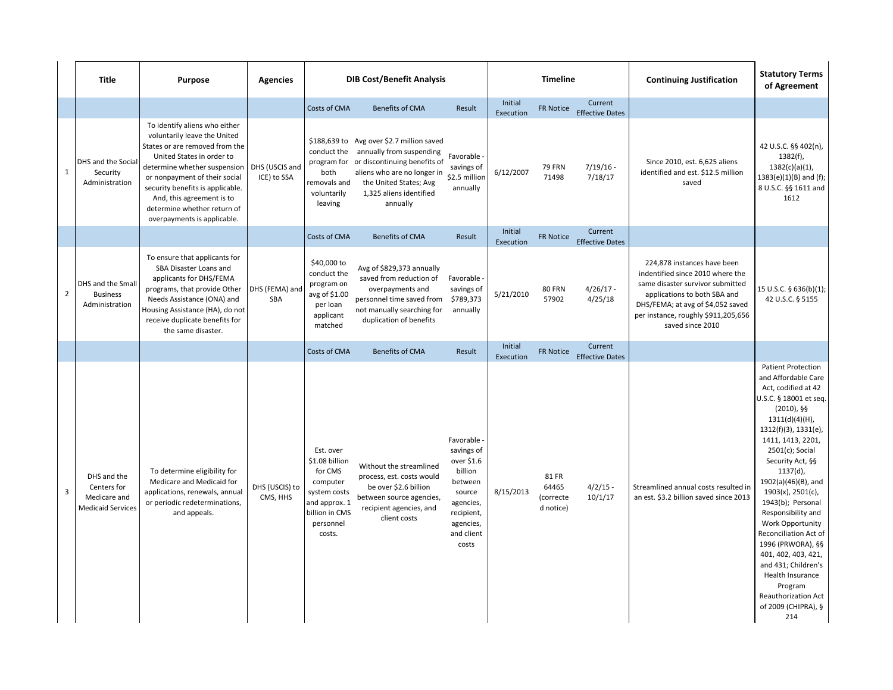|                         | Title                                                                  | <b>Purpose</b>                                                                                                                                                                                                                                                                                                               | <b>Agencies</b>               | <b>DIB Cost/Benefit Analysis</b>                                                                                             |                                                                                                                                                                                                                                                         | <b>Timeline</b>                                                                                                                        |                                   |                                            | <b>Continuing Justification</b>                             | <b>Statutory Terms</b><br>of Agreement                                                                                                                                                                                              |                                                                                                                                                                                                                                                                                                                                                                                                                                                                                                                                             |
|-------------------------|------------------------------------------------------------------------|------------------------------------------------------------------------------------------------------------------------------------------------------------------------------------------------------------------------------------------------------------------------------------------------------------------------------|-------------------------------|------------------------------------------------------------------------------------------------------------------------------|---------------------------------------------------------------------------------------------------------------------------------------------------------------------------------------------------------------------------------------------------------|----------------------------------------------------------------------------------------------------------------------------------------|-----------------------------------|--------------------------------------------|-------------------------------------------------------------|-------------------------------------------------------------------------------------------------------------------------------------------------------------------------------------------------------------------------------------|---------------------------------------------------------------------------------------------------------------------------------------------------------------------------------------------------------------------------------------------------------------------------------------------------------------------------------------------------------------------------------------------------------------------------------------------------------------------------------------------------------------------------------------------|
| $\mathbf{1}$            | DHS and the Social<br>Security<br>Administration                       | To identify aliens who either<br>voluntarily leave the United<br>States or are removed from the<br>United States in order to<br>determine whether suspension<br>or nonpayment of their social<br>security benefits is applicable.<br>And, this agreement is to<br>determine whether return of<br>overpayments is applicable. | DHS (USCIS and<br>ICE) to SSA | Costs of CMA<br>both<br>removals and<br>voluntarily<br>leaving                                                               | <b>Benefits of CMA</b><br>\$188,639 to Avg over \$2.7 million saved<br>conduct the annually from suspending<br>program for or discontinuing benefits of<br>aliens who are no longer in<br>the United States; Avg<br>1,325 aliens identified<br>annually | Result<br>Favorable -<br>savings of<br>\$2.5 million<br>annually                                                                       | Initial<br>Execution<br>6/12/2007 | <b>FR Notice</b><br><b>79 FRN</b><br>71498 | Current<br><b>Effective Dates</b><br>$7/19/16 -$<br>7/18/17 | Since 2010, est. 6,625 aliens<br>identified and est. \$12.5 million<br>saved                                                                                                                                                        | 42 U.S.C. §§ 402(n),<br>$1382(f)$ ,<br>$1382(c)(a)(1)$ ,<br>$1383(e)(1)(B)$ and (f);<br>8 U.S.C. §§ 1611 and<br>1612                                                                                                                                                                                                                                                                                                                                                                                                                        |
|                         |                                                                        |                                                                                                                                                                                                                                                                                                                              |                               | Costs of CMA                                                                                                                 | <b>Benefits of CMA</b>                                                                                                                                                                                                                                  | Result                                                                                                                                 | Initial<br>Execution              | <b>FR Notice</b>                           | Current<br><b>Effective Dates</b>                           |                                                                                                                                                                                                                                     |                                                                                                                                                                                                                                                                                                                                                                                                                                                                                                                                             |
| $\overline{2}$          | DHS and the Small<br><b>Business</b><br>Administration                 | To ensure that applicants for<br>SBA Disaster Loans and<br>applicants for DHS/FEMA<br>programs, that provide Other<br>Needs Assistance (ONA) and<br>Housing Assistance (HA), do not<br>receive duplicate benefits for<br>the same disaster.                                                                                  | DHS (FEMA) and<br><b>SBA</b>  | \$40,000 to<br>conduct the<br>program on<br>avg of \$1.00<br>per loan<br>applicant<br>matched                                | Avg of \$829,373 annually<br>saved from reduction of<br>overpayments and<br>personnel time saved from<br>not manually searching for<br>duplication of benefits                                                                                          | Favorable -<br>savings of<br>\$789,373<br>annually                                                                                     | 5/21/2010                         | 80 FRN<br>57902                            | $4/26/17 -$<br>4/25/18                                      | 224,878 instances have been<br>indentified since 2010 where the<br>same disaster survivor submitted<br>applications to both SBA and<br>DHS/FEMA; at avg of \$4,052 saved<br>per instance, roughly \$911,205,656<br>saved since 2010 | 15 U.S.C. § 636(b)(1);<br>42 U.S.C. § 5155                                                                                                                                                                                                                                                                                                                                                                                                                                                                                                  |
|                         |                                                                        |                                                                                                                                                                                                                                                                                                                              |                               | Costs of CMA                                                                                                                 | <b>Benefits of CMA</b>                                                                                                                                                                                                                                  | Result                                                                                                                                 | Initial<br>Execution              | <b>FR Notice</b>                           | Current<br><b>Effective Dates</b>                           |                                                                                                                                                                                                                                     |                                                                                                                                                                                                                                                                                                                                                                                                                                                                                                                                             |
| $\overline{\mathbf{3}}$ | DHS and the<br>Centers for<br>Medicare and<br><b>Medicaid Services</b> | To determine eligibility for<br>Medicare and Medicaid for<br>applications, renewals, annual<br>or periodic redeterminations,<br>and appeals.                                                                                                                                                                                 | DHS (USCIS) to<br>CMS, HHS    | Est. over<br>\$1.08 billion<br>for CMS<br>computer<br>system costs<br>and approx. 1<br>billion in CMS<br>personnel<br>costs. | Without the streamlined<br>process, est. costs would<br>be over \$2.6 billion<br>between source agencies,<br>recipient agencies, and<br>client costs                                                                                                    | Favorable -<br>savings of<br>over \$1.6<br>billion<br>between<br>source<br>agencies,<br>recipient,<br>agencies,<br>and client<br>costs | 8/15/2013                         | 81 FR<br>64465<br>(correcte<br>d notice)   | $4/2/15 -$<br>10/1/17                                       | Streamlined annual costs resulted in<br>an est. \$3.2 billion saved since 2013                                                                                                                                                      | <b>Patient Protection</b><br>and Affordable Care<br>Act, codified at 42<br>U.S.C. § 18001 et seq.<br>$(2010)$ , §§<br>1311(d)(4)(H),<br>$1312(f)(3)$ , $1331(e)$ ,<br>1411, 1413, 2201,<br>$2501(c)$ ; Social<br>Security Act, §§<br>$1137(d)$ ,<br>1902(a)(46)(B), and<br>1903(x), 2501(c),<br>1943(b); Personal<br>Responsibility and<br>Work Opportunity<br>Reconciliation Act of<br>1996 (PRWORA), §§<br>401, 402, 403, 421,<br>and 431; Children's<br>Health Insurance<br>Program<br>Reauthorization Act<br>of 2009 (CHIPRA), §<br>214 |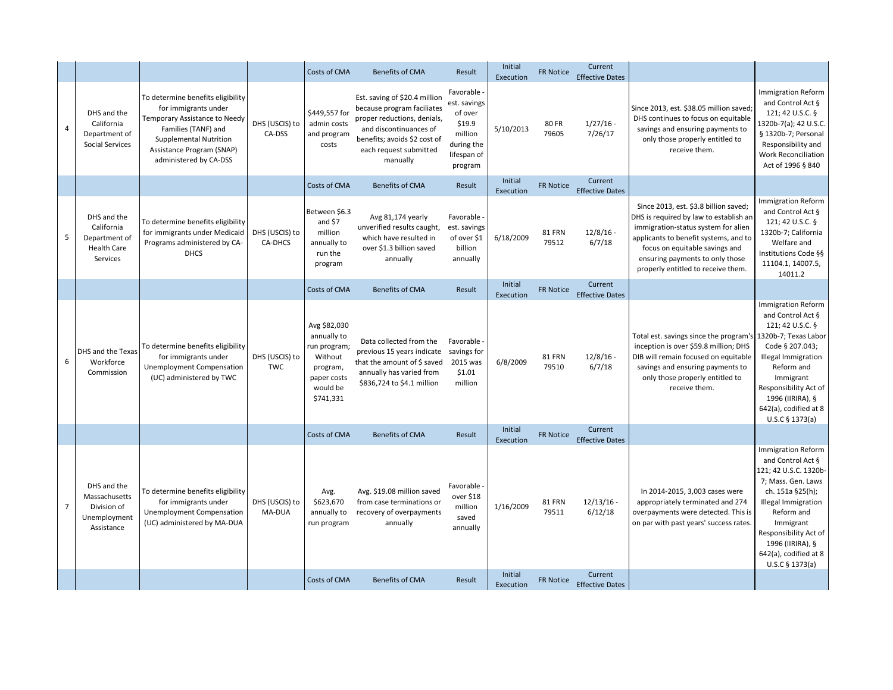|                |                                                                              |                                                                                                                                                                                                    |                              | Costs of CMA                                                                                               | <b>Benefits of CMA</b>                                                                                                                                                                     | Result                                                                                              | Initial<br>Execution | <b>FR Notice</b> | Current<br><b>Effective Dates</b> |                                                                                                                                                                                                                                                                            |                                                                                                                                                                                                                                                                       |
|----------------|------------------------------------------------------------------------------|----------------------------------------------------------------------------------------------------------------------------------------------------------------------------------------------------|------------------------------|------------------------------------------------------------------------------------------------------------|--------------------------------------------------------------------------------------------------------------------------------------------------------------------------------------------|-----------------------------------------------------------------------------------------------------|----------------------|------------------|-----------------------------------|----------------------------------------------------------------------------------------------------------------------------------------------------------------------------------------------------------------------------------------------------------------------------|-----------------------------------------------------------------------------------------------------------------------------------------------------------------------------------------------------------------------------------------------------------------------|
| $\overline{4}$ | DHS and the<br>California<br>Department of<br><b>Social Services</b>         | To determine benefits eligibility<br>for immigrants under<br>Temporary Assistance to Needy<br>Families (TANF) and<br>Supplemental Nutrition<br>Assistance Program (SNAP)<br>administered by CA-DSS | DHS (USCIS) to<br>CA-DSS     | \$449,557 for<br>admin costs<br>and program<br>costs                                                       | Est. saving of \$20.4 million<br>because program faciliates<br>proper reductions, denials,<br>and discontinuances of<br>benefits; avoids \$2 cost of<br>each request submitted<br>manually | Favorable -<br>est. savings<br>of over<br>\$19.9<br>million<br>during the<br>lifespan of<br>program | 5/10/2013            | 80 FR<br>79605   | $1/27/16$ -<br>7/26/17            | Since 2013, est. \$38.05 million saved;<br>DHS continues to focus on equitable<br>savings and ensuring payments to<br>only those properly entitled to<br>receive them.                                                                                                     | <b>Immigration Reform</b><br>and Control Act §<br>121; 42 U.S.C. §<br>1320b-7(a); 42 U.S.C.<br>§ 1320b-7; Personal<br>Responsibility and<br><b>Work Reconciliation</b><br>Act of 1996 § 840                                                                           |
|                |                                                                              |                                                                                                                                                                                                    |                              | Costs of CMA                                                                                               | <b>Benefits of CMA</b>                                                                                                                                                                     | Result                                                                                              | Initial<br>Execution | <b>FR Notice</b> | Current<br><b>Effective Dates</b> |                                                                                                                                                                                                                                                                            |                                                                                                                                                                                                                                                                       |
| 5              | DHS and the<br>California<br>Department of<br><b>Health Care</b><br>Services | To determine benefits eligibility<br>for immigrants under Medicaid<br>Programs administered by CA-<br><b>DHCS</b>                                                                                  | DHS (USCIS) to<br>CA-DHCS    | Between \$6.3<br>and $$7$<br>million<br>annually to<br>run the<br>program                                  | Avg 81,174 yearly<br>unverified results caught,<br>which have resulted in<br>over \$1.3 billion saved<br>annually                                                                          | Favorable<br>est. savings<br>of over \$1<br>billion<br>annually                                     | 6/18/2009            | 81 FRN<br>79512  | $12/8/16$ -<br>6/7/18             | Since 2013, est. \$3.8 billion saved;<br>DHS is required by law to establish an<br>immigration-status system for alien<br>applicants to benefit systems, and to<br>focus on equitable savings and<br>ensuring payments to only those<br>properly entitled to receive them. | <b>Immigration Reform</b><br>and Control Act §<br>121; 42 U.S.C. §<br>1320b-7; California<br>Welfare and<br>Institutions Code §§<br>11104.1, 14007.5,<br>14011.2                                                                                                      |
|                |                                                                              |                                                                                                                                                                                                    |                              | Costs of CMA                                                                                               | <b>Benefits of CMA</b>                                                                                                                                                                     | Result                                                                                              | Initial<br>Execution | <b>FR Notice</b> | Current<br><b>Effective Dates</b> |                                                                                                                                                                                                                                                                            |                                                                                                                                                                                                                                                                       |
| 6              | DHS and the Texas<br>Workforce<br>Commission                                 | To determine benefits eligibility<br>for immigrants under<br><b>Unemployment Compensation</b><br>(UC) administered by TWC                                                                          | DHS (USCIS) to<br><b>TWC</b> | Avg \$82,030<br>annually to<br>run program;<br>Without<br>program,<br>paper costs<br>would be<br>\$741,331 | Data collected from the<br>previous 15 years indicate savings for<br>that the amount of $\frac{1}{2}$ saved<br>annually has varied from<br>\$836,724 to \$4.1 million                      | Favorable<br>2015 was<br>\$1.01<br>million                                                          | 6/8/2009             | 81 FRN<br>79510  | $12/8/16$ -<br>6/7/18             | Total est. savings since the program's<br>inception is over \$59.8 million; DHS<br>DIB will remain focused on equitable<br>savings and ensuring payments to<br>only those properly entitled to<br>receive them.                                                            | <b>Immigration Reform</b><br>and Control Act §<br>121; 42 U.S.C. §<br>1320b-7; Texas Labor<br>Code § 207.043;<br>Illegal Immigration<br>Reform and<br>Immigrant<br>Responsibility Act of<br>1996 (IIRIRA), §<br>642(a), codified at 8<br>U.S.C § 1373(a)              |
|                |                                                                              |                                                                                                                                                                                                    |                              | Costs of CMA                                                                                               | <b>Benefits of CMA</b>                                                                                                                                                                     | Result                                                                                              | Initial<br>Execution | <b>FR Notice</b> | Current<br><b>Effective Dates</b> |                                                                                                                                                                                                                                                                            |                                                                                                                                                                                                                                                                       |
| $\overline{7}$ | DHS and the<br>Massachusetts<br>Division of<br>Unemployment<br>Assistance    | To determine benefits eligibility<br>for immigrants under<br><b>Unemployment Compensation</b><br>(UC) administered by MA-DUA                                                                       | DHS (USCIS) to<br>MA-DUA     | Avg.<br>\$623,670<br>annually to<br>run program                                                            | Avg. \$19.08 million saved<br>from case terminations or<br>recovery of overpayments<br>annually                                                                                            | Favorable<br>over \$18<br>million<br>saved<br>annually                                              | 1/16/2009            | 81 FRN<br>79511  | $12/13/16$ -<br>6/12/18           | In 2014-2015, 3,003 cases were<br>appropriately terminated and 274<br>overpayments were detected. This is<br>on par with past years' success rates.                                                                                                                        | <b>Immigration Reform</b><br>and Control Act §<br>121; 42 U.S.C. 1320b-<br>7; Mass. Gen. Laws<br>ch. 151a §25(h);<br><b>Illegal Immigration</b><br>Reform and<br>Immigrant<br>Responsibility Act of<br>1996 (IIRIRA), §<br>642(a), codified at 8<br>$U.S.C$ § 1373(a) |
|                |                                                                              |                                                                                                                                                                                                    |                              | Costs of CMA                                                                                               | <b>Benefits of CMA</b>                                                                                                                                                                     | Result                                                                                              | Initial<br>Execution | FR Notice        | Current<br><b>Effective Dates</b> |                                                                                                                                                                                                                                                                            |                                                                                                                                                                                                                                                                       |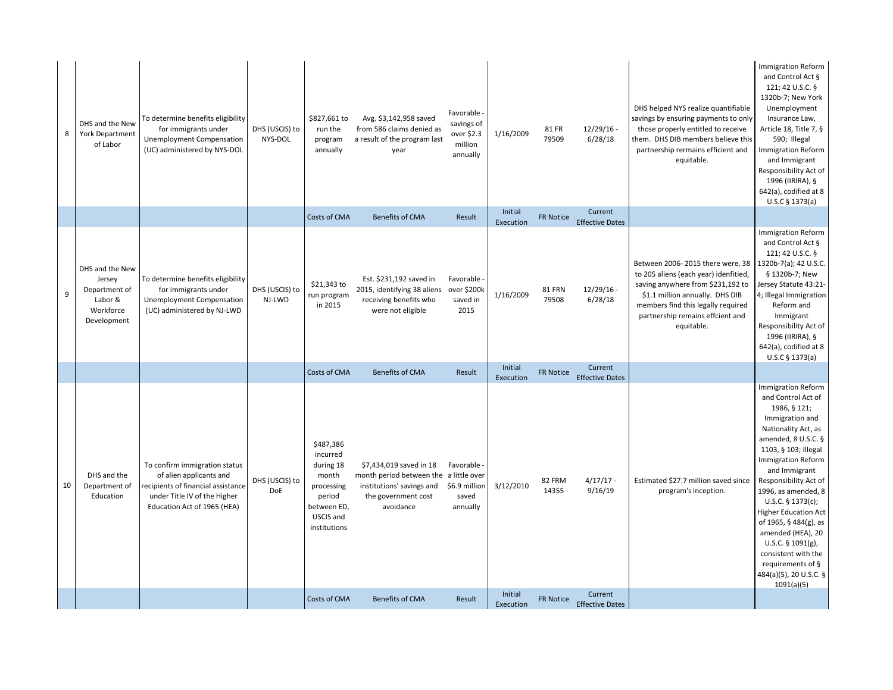| 8  | DHS and the New<br><b>York Department</b><br>of Labor                             | To determine benefits eligibility<br>for immigrants under<br>Unemployment Compensation<br>(UC) administered by NYS-DOL                                        | DHS (USCIS) to<br>NYS-DOL | \$827,661 to<br>run the<br>program<br>annually                                                                  | Avg. \$3,142,958 saved<br>from 586 claims denied as<br>a result of the program last<br>year                                        | Favorable -<br>savings of<br>over \$2.3<br>million<br>annually | 1/16/2009            | 81 FR<br>79509   | $12/29/16$ -<br>6/28/18           | DHS helped NYS realize quantifiable<br>savings by ensuring payments to only<br>those properly entitled to receive<br>them. DHS DIB members believe this<br>partnership rermains efficient and<br>equitable.                               | <b>Immigration Reform</b><br>and Control Act §<br>121; 42 U.S.C. §<br>1320b-7; New York<br>Unemployment<br>Insurance Law,<br>Article 18, Title 7, §<br>590; Illegal<br><b>Immigration Reform</b><br>and Immigrant<br>Responsibility Act of<br>1996 (IIRIRA), §<br>642(a), codified at 8<br>U.S.C § 1373(a)                                                                                                                                                             |
|----|-----------------------------------------------------------------------------------|---------------------------------------------------------------------------------------------------------------------------------------------------------------|---------------------------|-----------------------------------------------------------------------------------------------------------------|------------------------------------------------------------------------------------------------------------------------------------|----------------------------------------------------------------|----------------------|------------------|-----------------------------------|-------------------------------------------------------------------------------------------------------------------------------------------------------------------------------------------------------------------------------------------|------------------------------------------------------------------------------------------------------------------------------------------------------------------------------------------------------------------------------------------------------------------------------------------------------------------------------------------------------------------------------------------------------------------------------------------------------------------------|
|    |                                                                                   |                                                                                                                                                               |                           | Costs of CMA                                                                                                    | <b>Benefits of CMA</b>                                                                                                             | Result                                                         | Initial<br>Execution | <b>FR Notice</b> | Current<br><b>Effective Dates</b> |                                                                                                                                                                                                                                           |                                                                                                                                                                                                                                                                                                                                                                                                                                                                        |
| 9  | DHS and the New<br>Jersey<br>Department of<br>Labor &<br>Workforce<br>Development | To determine benefits eligibility<br>for immigrants under<br><b>Unemployment Compensation</b><br>(UC) administered by NJ-LWD                                  | DHS (USCIS) to<br>NJ-LWD  | \$21,343 to<br>run program<br>in 2015                                                                           | Est. \$231,192 saved in<br>2015, identifying 38 aliens<br>receiving benefits who<br>were not eligible                              | Favorable<br>over \$200k<br>saved in<br>2015                   | 1/16/2009            | 81 FRN<br>79508  | $12/29/16$ -<br>6/28/18           | Between 2006-2015 there were, 38<br>to 205 aliens (each year) idenfitied,<br>saving anywhere from \$231,192 to<br>\$1.1 million annually. DHS DIB<br>members find this legally required<br>partnership remains effcient and<br>equitable. | <b>Immigration Reform</b><br>and Control Act §<br>121; 42 U.S.C. §<br>1320b-7(a); 42 U.S.C.<br>§ 1320b-7; New<br>Jersey Statute 43:21<br>4; Illegal Immigration<br>Reform and<br>Immigrant<br>Responsibility Act of<br>1996 (IIRIRA), §<br>642(a), codified at 8<br>U.S.C § 1373(a)                                                                                                                                                                                    |
|    |                                                                                   |                                                                                                                                                               |                           | Costs of CMA                                                                                                    | <b>Benefits of CMA</b>                                                                                                             | Result                                                         | Initial<br>Execution | FR Notice        | Current<br><b>Effective Dates</b> |                                                                                                                                                                                                                                           |                                                                                                                                                                                                                                                                                                                                                                                                                                                                        |
| 10 | DHS and the<br>Department of<br>Education                                         | To confirm immigration status<br>of alien applicants and<br>recipients of financial assistance<br>under Title IV of the Higher<br>Education Act of 1965 (HEA) | DHS (USCIS) to<br>DoE     | \$487,386<br>incurred<br>during 18<br>month<br>processing<br>period<br>between ED,<br>USCIS and<br>institutions | \$7,434,019 saved in 18<br>month period between the a little over<br>institutions' savings and<br>the government cost<br>avoidance | Favorable -<br>\$6.9 million<br>saved<br>annually              | 3/12/2010<br>Initial | 82 FRM<br>14355  | $4/17/17 -$<br>9/16/19<br>Current | Estimated \$27.7 million saved since<br>program's inception.                                                                                                                                                                              | <b>Immigration Reform</b><br>and Control Act of<br>1986, § 121;<br>Immigration and<br>Nationality Act, as<br>amended, 8 U.S.C. §<br>1103, § 103; Illegal<br><b>Immigration Reform</b><br>and Immigrant<br>Responsibility Act of<br>1996, as amended, 8<br>$U.S.C.$ § 1373(c);<br><b>Higher Education Act</b><br>of 1965, § 484(g), as<br>amended (HEA), 20<br>U.S.C. $\S$ 1091(g),<br>consistent with the<br>requirements of §<br>484(a)(5), 20 U.S.C. §<br>1091(a)(5) |
|    |                                                                                   |                                                                                                                                                               |                           | Costs of CMA                                                                                                    | <b>Benefits of CMA</b>                                                                                                             | Result                                                         | Execution            | FR Notice        | <b>Effective Dates</b>            |                                                                                                                                                                                                                                           |                                                                                                                                                                                                                                                                                                                                                                                                                                                                        |